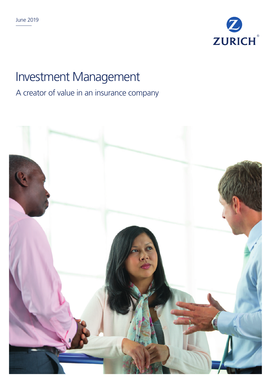

# Investment Management

# A creator of value in an insurance company

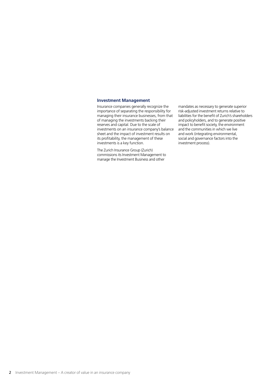#### **Investment Management**

Insurance companies generally recognize the importance of separating the responsibility for managing their insurance businesses, from that of managing the investments backing their reserves and capital. Due to the scale of investments on an insurance company's balance sheet and the impact of investment results on its profitability, the management of these investments is a key function.

The Zurich Insurance Group (Zurich) commissions its Investment Management to manage the Investment Business and other

mandates as necessary to generate superior risk-adjusted investment returns relative to liabilities for the benefit of Zurich's shareholders and policyholders, and to generate positive impact to benefit society, the environment and the communities in which we live and work (integrating environmental, social and governance factors into the investment process).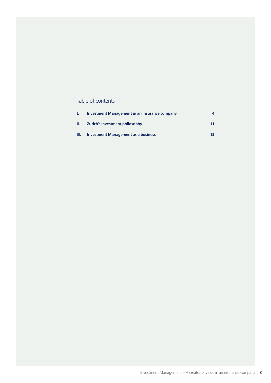### Table of contents

|      | <b>Investment Management in an insurance company</b> |    |
|------|------------------------------------------------------|----|
| П.   | Zurich's investment philosophy                       | 11 |
| III. | <b>Investment Management as a business</b>           | 13 |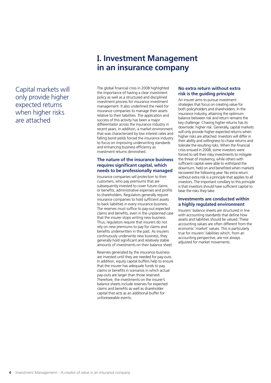### Capital markets will only provide higher expected returns when higher risks are attached

# **I. Investment Management in an insurance company**

The global financial crisis in 2008 highlighted the importance of having a clear investment policy as well as a structured and disciplined investment process for insurance investment management. It also underlined the need for insurance companies to manage their assets relative to their liabilities. The application and success of this activity has been a major differentiator across the insurance industry in recent years. In addition, a market environment that was characterized by low interest rates and falling bond yields forced the insurance industry to focus on improving underwriting standards and enhancing business efficiency as investment returns diminished.

#### **The nature of the insurance business requires significant capital, which needs to be professionally managed**

Insurance companies sell protection to their customers, who pay premiums that are subsequently invested to cover future claims or benefits, administrative expenses and profits to shareholders. Regulators generally require insurance companies to hold sufficient assets to back liabilities in every insurance business. The reserves must suffice to pay-out expected claims and benefits, even in the unplanned case that the insurer stops writing new business. Thus, regulators require that insurers do not rely on new premiums to pay for claims and benefits underwritten in the past. As insurers continuously underwrite new business, they generally hold significant and relatively stable amounts of investments on their balance sheet.

Reserves generated by the insurance business are invested until they are needed for pay-outs. In addition, equity capital buffers help to ensure that the insurer has adequate funds to pay claims or benefits in scenarios in which actual pay-outs are larger than those reserved. Therefore, the investments on the insurer's balance sheets include reserves for expected claims and benefits as well as shareholder capital that acts as an additional buffer for unforeseeable events.

#### **No extra return without extra risk is the guiding principle**

An insurer aims to pursue investment strategies that focus on creating value for both policyholders and shareholders. In the insurance industry, attaining the optimum balance between risk and return remains the key challenge. Chasing higher returns has its downside: higher risk. Generally, capital markets will only provide higher expected returns when higher risks are attached. Investors will differ in their ability and willingness to chase returns and tolerate the resulting risks. When the financial crisis ensued in 2008, some investors were forced to sell their risky investments to mitigate the threat of insolvency, while others with sufficient capital were able to withstand the downturn, held on and benefited when markets recovered the following year. No extra return without extra risk is a principle that applies to all investors. The important corollary to this principle is that investors should have sufficient capital to bear the risks they take.

#### **Investments are conducted within a highly regulated environment**

Insurers' balance sheets are structured in line with accounting standards that define how assets and liabilities should be valued. These accounting values are often different from the economic 'market' values. This is particularly true for insurers' liabilities which, from an accounting perspective, are not always adjusted for market movements.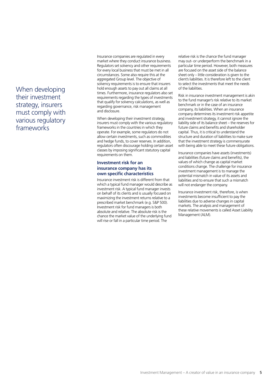### When developing their investment strategy, insurers must comply with various regulatory frameworks

Insurance companies are regulated in every market where they conduct insurance business. Regulators set solvency and other requirements for every local business that must be met in all circumstances. Some also require this at the aggregated Group level. The objective of solvency requirements is to ensure that insurers hold enough assets to pay out all claims at all times. Furthermore, insurance regulators also set requirements regarding the types of investments that qualify for solvency calculations, as well as regarding governance, risk management and disclosure.

When developing their investment strategy, insurers must comply with the various regulatory frameworks in the countries in which they operate. For example, some regulators do not allow certain investments, such as commodities and hedge funds, to cover reserves. In addition, regulators often discourage holding certain asset classes by imposing significant statutory capital requirements on them.

#### **Investment risk for an insurance company has its own specific characteristics**

Insurance investment risk is different from that which a typical fund manager would describe as investment risk. A typical fund manager invests on behalf of its clients and is usually focused on maximizing the investment returns relative to a prescribed market benchmark (e.g. S&P 500). Investment risk for fund managers is both absolute and relative. The absolute risk is the chance the market value of the underlying fund will rise or fall in a particular time period. The

relative risk is the chance the fund manager may out- or underperform the benchmark in a particular time period. However, both measures are focused on the asset side of the balance sheet only – little consideration is given to the client's liabilities. It is therefore left to the client to select the investments that meet the needs of the liabilities.

Risk in insurance investment management is akin to the fund manager's risk relative to its market benchmark or in the case of an insurance company, its liabilities. When an insurance company determines its investment risk appetite and investment strategy, it cannot ignore the liability side of its balance sheet – the reserves for future claims and benefits and shareholder capital. Thus, it is critical to understand the structure and duration of liabilities to make sure that the investment strategy is commensurate with being able to meet these future obligations.

Insurance companies have assets (investments) and liabilities (future claims and benefits), the values of which change as capital market conditions change. The challenge for insurance investment management is to manage the potential mismatch in value of its assets and liabilities and to ensure that such a mismatch will not endanger the company.

Insurance investment risk, therefore, is when investments become insufficient to pay the liabilities due to adverse changes in capital markets. The analysis and management of these relative movements is called Asset Liability Management (ALM).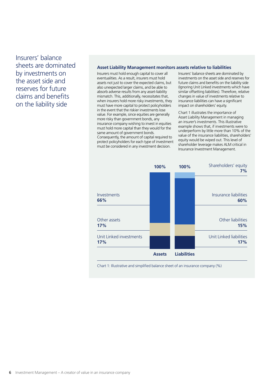Insurers' balance sheets are dominated by investments on the asset side and reserves for future claims and benefits on the liability side

#### **Asset Liability Management monitors assets relative to liabilities**

Insurers must hold enough capital to cover all eventualities. As a result, insurers must hold assets not just to cover the expected claims, but also unexpected larger claims, and be able to absorb adverse results from any asset-liability mismatch. This, additionally, necessitates that, when insurers hold more risky investments, they must have more capital to protect policyholders in the event that the riskier investments lose value. For example, since equities are generally more risky than government bonds, any insurance company wishing to invest in equities must hold more capital than they would for the same amount of government bonds. Consequently, the amount of capital required to protect policyholders for each type of investment must be considered in any investment decision.

Insurers' balance sheets are dominated by investments on the asset side and reserves for future claims and benefits on the liability side (Ignoring Unit Linked investments which have similar offsetting liabilities). Therefore, relative changes in value of investments relative to insurance liabilities can have a significant impact on shareholders' equity.

Chart 1 illustrates the importance of Asset Liability Management in managing an insurer's investments. This illustrative example shows that, if investments were to underperform by little more than 10% of the value of the insurance liabilities, shareholders' equity would be wiped out. This level of shareholder leverage makes ALM critical in Insurance Investment Management.



Chart 1: Illustrative and simplified balance sheet of an insurance company (%)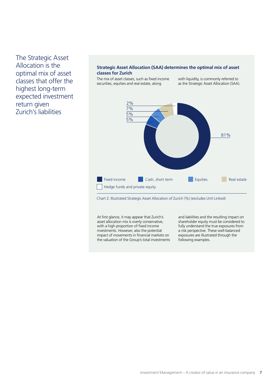The Strategic Asset Allocation is the optimal mix of asset classes that offer the highest long-term expected investment return given Zurich's liabilities

#### **Strategic Asset Allocation (SAA) determines the optimal mix of asset classes for Zurich**

The mix of asset classes, such as fixed income securities, equities and real estate, along

with liquidity, is commonly referred to as the Strategic Asset Allocation (SAA).



Chart 2: Illustrated Strategic Asset Allocation of Zurich (%) (excludes Unit Linked)

At first glance, it may appear that Zurich's asset allocation mix is overly conservative, with a high proportion of fixed income investments. However, also the potential impact of movements in financial markets on the valuation of the Group's total investments

and liabilities and the resulting impact on shareholder equity must be considered to fully understand the true exposures from a risk perspective. These well-balanced exposures are illustrated through the following examples.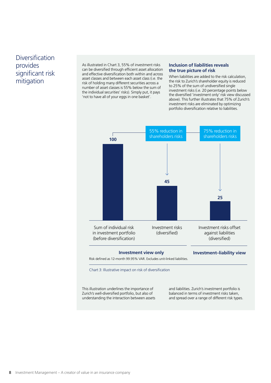### Diversification provides significant risk mitigation

As illustrated in Chart 3, 55% of investment risks can be diversified through efficient asset allocation and effective diversification both within and across asset classes and between each asset class (i.e. the risk of holding many different securities across a number of asset classes is 55% below the sum of the individual securities' risks). Simply put, it pays 'not to have all of your eggs in one basket'.

#### **Inclusion of liabilities reveals the true picture of risk**

When liabilities are added to the risk calculation, the risk to Zurich's shareholder equity is reduced to 25% of the sum of undiversified single investment risks (i.e. 20 percentage points below the diversified 'investment only' risk view discussed above). This further illustrates that 75% of Zurich's investment risks are eliminated by optimizing portfolio diversification relative to liabilities.



Risk defined as 12-month 99.95% VAR. Excludes unit-linked liabilities.

Chart 3: Illustrative impact on risk of diversification

This illustration underlines the importance of Zurich's well-diversified portfolio, but also of understanding the interaction between assets and liabilities. Zurich's investment portfolio is balanced in terms of investment risks taken, and spread over a range of different risk types.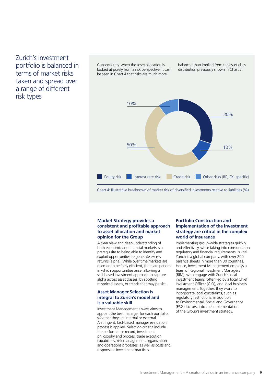### Zurich's investment portfolio is balanced in terms of market risks taken and spread over a range of different risk types

Consequently, when the asset allocation is looked at purely from a risk perspective, it can be seen in Chart 4 that risks are much more

balanced than implied from the asset class distribution previously shown in Chart 2.



Chart 4: Illustrative breakdown of market risk of diversified investments relative to liabilities (%)

#### **Market Strategy provides a consistent and profitable approach to asset allocation and market opinion for the Group**

A clear view and deep understanding of both economic and financial markets is a prerequisite to being able to identify and exploit opportunities to generate excess returns (alpha). While over time markets are deemed to be fairly efficient, there are periods in which opportunities arise, allowing a skill-based investment approach to capture alpha across asset classes, by spotting mispriced assets, or trends that may persist.

#### **Asset Manager Selection is integral to Zurich's model and is a valuable skill**

Investment Management always aims to appoint the best manager for each portfolio, whether they are internal or external. A stringent, fact-based manager evaluation process is applied. Selection criteria include the performance record, investment philosophy and process, trade execution capabilities, risk management, organization and operations processes, as well as costs and responsible investment practices.

#### **Portfolio Construction and implementation of the investment strategy are critical in the complex world of insurance**

Implementing group-wide strategies quickly and effectively, while taking into consideration regulatory and financial requirements, is vital. Zurich is a global company, with over 200 balance sheets in more than 30 countries. Hence, Investment Management employs a team of Regional Investment Managers (RIM), who engage with Zurich's local investment teams, often led by a local Chief Investment Officer (CIO), and local business management. Together, they work to incorporate local constraints, such as regulatory restrictions, in addition to Environmental, Social and Governance (ESG) factors, into the implementation of the Group's investment strategy.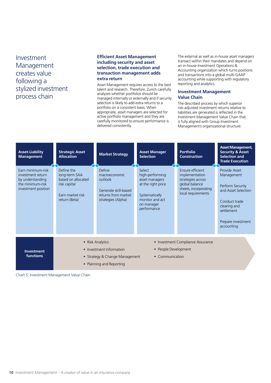Investment Management creates value following a stylized investment process chain

#### **Efficient Asset Management including security and asset selection, trade execution and transaction management adds extra return**

Asset Management requires access to the best talent and research. Therefore, Zurich carefully analyzes whether portfolios should be managed internally or externally and if security selection is likely to add extra returns to a portfolio on a consistent basis. When appropriate, asset managers are selected for active portfolio management and they are carefully monitored to ensure performance is delivered consistently.

The external as well as in-house asset managers transact within their mandates and depend on an in-house Investment Operations & Accounting organization which turns positions and transactions into a global multi-GAAP accounting while supporting with regulatory reporting and analytics.

#### **Investment Management Value Chain**

The described process by which superior risk-adjusted investment returns relative to liabilities are generated is reflected in the Investment Management Value Chain that is fully aligned with Group Investment Management's organizational structure.

| <b>Asset-Liability</b><br><b>Management</b>                                                           | <b>Strategic Asset</b><br><b>Allocation</b>                                                                | <b>Market Strategy</b>                                                                                  | <b>Asset Manager</b><br><b>Selection</b>                                                                                            | <b>Portfolio</b><br><b>Construction</b>                                                                                  | <b>Asset Management,</b><br><b>Security &amp; Asset</b><br><b>Selection and</b><br><b>Trade Execution</b>                                                 |
|-------------------------------------------------------------------------------------------------------|------------------------------------------------------------------------------------------------------------|---------------------------------------------------------------------------------------------------------|-------------------------------------------------------------------------------------------------------------------------------------|--------------------------------------------------------------------------------------------------------------------------|-----------------------------------------------------------------------------------------------------------------------------------------------------------|
| Earn minimum-risk<br>investment return<br>by understanding<br>the minimum-risk<br>investment position | Define the<br>long-term SAA<br>based on allocated<br>risk capital<br>Earn market risk<br>return (Beta)     | Define<br>macroeconomic<br>outlook<br>Generate skill-based<br>returns from market<br>strategies (Alpha) | Select<br>high-performing<br>asset managers<br>at the right price<br>Systematically<br>monitor and act<br>on manager<br>performance | Ensure efficient<br>implementation<br>strategies across<br>global balance<br>sheets, incorporating<br>local requirements | Provide Asset<br>Management<br>Perform Security<br>and Asset Selection<br>Conduct trade<br>clearing and<br>settlement<br>Prepare investment<br>accounting |
| <b>Investment</b><br><b>functions</b>                                                                 | • Risk Analytics<br>• Investment Information<br>• Strategy & Change Management<br>• Planning and Reporting |                                                                                                         | • Investment Compliance Assurance<br>• People Development<br>• Communication                                                        |                                                                                                                          |                                                                                                                                                           |

Chart 5: Investment Management Value Chain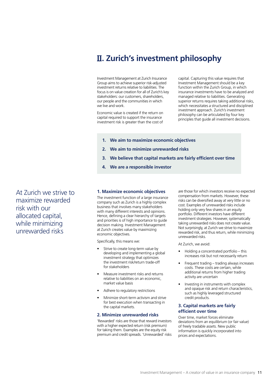# **II. Zurich's investment philosophy**

Investment Management at Zurich Insurance Group aims to achieve superior risk-adjusted investment returns relative to liabilities. The focus is on value creation for all of Zurich's key stakeholders: our customers, shareholders, our people and the communities in which we live and work.

Economic value is created if the return on capital required to support the insurance investment risk is greater than the cost of

capital. Capturing this value requires that Investment Management should be a key function within the Zurich Group, in which insurance investments have to be analyzed and managed relative to liabilities. Generating superior returns requires taking additional risks, which necessitates a structured and disciplined investment approach. Zurich's investment philosophy can be articulated by four key principles that guide all investment decisions.

- **1. We aim to maximize economic objectives**
- **2. We aim to minimize unrewarded risks**
- **3. We believe that capital markets are fairly efficient over time**
- **4. We are a responsible investor**

**1. Maximize economic objectives**

The investment function of a large insurance company such as Zurich is a highly complex business that involves many stakeholders with many different interests and opinions. Hence, defining a clear hierarchy of targets and priorities is of high importance to guide decision making. Investment Management at Zurich creates value by maximizing economic objectives.

Specifically, this means we:

- Strive to create long-term value by developing and implementing a global investment strategy that optimizes the investment risk/return trade-off for stakeholders
- Measure investment risks and returns relative to liabilities on an economic, market value basis
- Adhere to regulatory restrictions
- Minimize short-term activism and strive for best execution when transacting in the capital markets.

#### **2. Minimize unrewarded risks**

'Rewarded' risks are those that reward investors with a higher expected return (risk premium) for taking them. Examples are the equity risk premium and credit spreads. 'Unrewarded' risks

are those for which investors receive no expected compensation from markets. However, these risks can be diversified away at very little or no cost. Examples of unrewarded risks include holding only very few shares in an equity portfolio. Different investors have different investment strategies. However, systematically taking unrewarded risks does not create value. Not surprisingly, at Zurich we strive to maximize rewarded risk, and thus return, while minimizing unrewarded risks.

At Zurich, we avoid:

- Holding a concentrated portfolio this increases risk but not necessarily return
- Frequent trading trading always increases costs. These costs are certain, while additional returns from higher trading activity are uncertain
- Investing in instruments with complex and opaque risk and return characteristics, such as highly leveraged structured credit products.

#### **3. Capital markets are fairly efficient over time**

Over time, market forces eliminate deviations from an equilibrium (or fair value) of freely tradable assets. New public information is quickly incorporated into prices and expectations.

At Zurich we strive to maximize rewarded risk with our allocated capital, while minimizing unrewarded risks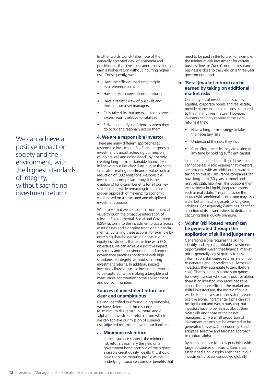In other words, Zurich takes note of the generally accepted view of academia and practitioners that investors cannot consistently earn a higher return without incurring higher risk. Consequently, we:

- Have the efficient markets principle as a reference point
- Have realistic expectations of returns
- Have a realistic view of our skills and those of our asset managers
- Only take risks that are expected to provide excess returns relative to liabilities
- Strive to identify inefficiencies when they do occur and rationally act on them.

#### **4. We are a responsible investor**

There are many different approaches to responsible investment. For Zurich, responsible investment is about achieving our mission of 'doing well and doing good', by not only creating long-term, sustainable financial value, in line with our fiduciary duty, but, at the same time, also creating non-financial value such as reduction of CO2 emissions. Responsible investment is not philanthropy. It is the creation of long-term benefits for all our key stakeholders, while remaining true to our proven approach of maximizing economic value based on a structured and disciplined investment process.

We believe that we can add this non-financial value through the proactive integration of relevant Environmental, Social and Governance (ESG) factors into the investment process across asset classes and alongside traditional financial metrics. By taking these actions, for example by exercising shareholder voting rights in our equity investments that are in line with ESG objectives, we can achieve a positive impact on society and the environment, and promote governance practices consistent with high standards of integrity, without sacrificing investment returns. In addition, impact investing allows attractive investment returns to be captured, while making a tangible and measurable contribution to the environment and our communities.

#### **Sources of investment return are clear and unambiguous**

Having identified our four guiding principles, we have determined three sources (a. minimum risk return, b. 'beta' and c. 'alpha') of investment returns from which we can achieve our mission of superior risk-adjusted returns relative to our liabilities.

#### **a. Minimum risk return**

In the insurance context, the minimum risk return is normally the yield on a government bond portfolio of the highest available credit quality. Ideally, this should have the same maturity profile as the underlying insurance claims or benefits that

need to be paid in the future. For example, the minimum-risk investment for certain business lines in Zurich's non-life insurance business is close to the yield on a three-year government bond.

#### **b. 'Beta' (market return) can be earned by taking on additional market risks**

Certain types of investments, such as equities, corporate bonds and real estate, provide higher expected returns compared to the minimum-risk return. However, investors can only capture these extra returns if they:

- Have a long-term strategy to take the necessary risks
- Understand the risks they incur
- Can afford the risks they are taking at any time by holding sufficient capital.

In addition, the fact that illiquid investments cannot be easily sold requires that investors are provided with an additional 'reward' for taking on this risk. Insurance companies can have long-term (30 years or more) and relatively static liabilities. This positions them well to invest in illiquid, long-term assets such as real estate. This can provide the insurer with additional income and may also aid in better matching assets to long-term liabilities. Consequently, Zurich has identified a portion of its balance sheet to dedicate to capturing this illiquidity premium.

#### **c. 'Alpha' (skill-based return) can be generated through the application of skill and judgement**

Generating alpha requires the skill to identify and exploit profitable investment opportunities. Given that financial market prices generally adjust quickly to new information, skill-based returns are difficult to generate and unpredictable. Across all investors, they aggregate to zero (before cost). That is, alpha is a zero sum game: for every investor who earns positive alpha, there is an investor who earns negative alpha. The more efficient the market and skilful investors are, the more difficult it will be for an investor to consistently earn positive alpha. Incremental alpha can still be significant and worth pursuing, but investors have to be realistic about their own skills and those of their asset managers. Only a small proportion of investment returns can be expected to be generated this way. Consequently, Zurich adopts a selective and targeted approach to capture alpha.

By combining our four key principles with targeted sources of returns, Zurich has established a philosophy enshrined in our investment process conducted globally.

We can achieve a positive impact on society and the environment, with the highest standards of integrity, without sacrificing investment returns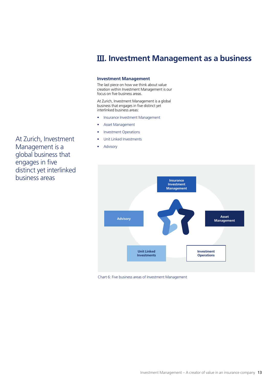# **III. Investment Management as a business**

#### **Investment Management**

The last piece on how we think about value creation within Investment Management is our focus on five business areas.

At Zurich, Investment Management is a global business that engages in five distinct yet interlinked business areas:

- Insurance Investment Management
- Asset Management
- Investment Operations
- Unit Linked Investments
- **Advisory**



Chart 6: Five business areas of Investment Management

At Zurich, Investment Management is a global business that engages in five distinct yet interlinked business areas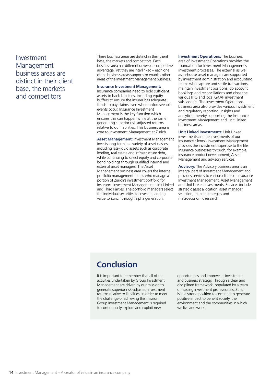Investment Management business areas are distinct in their client base, the markets and competitors

These business areas are distinct in their client base, the markets and competitors. Each business area has different drivers of competitive advantage. Yet they are interlinked – each one of the business areas supports or enables other areas of the Investment Management business.

#### **Insurance Investment Management:**

Insurance companies need to hold sufficient assets to back liabilities, including equity buffers to ensure the insurer has adequate funds to pay claims even when unforeseeable events occur. Insurance Investment Management is the key function which ensures this can happen while at the same generating superior risk-adjusted returns relative to our liabilities. This business area is core to Investment Management at Zurich.

**Asset Management:** Investment Management invests long-term in a variety of asset classes, including less-liquid assets such as corporate lending, real estate and infrastructure debt, while continuing to select equity and corporate bond holdings through qualified internal and external asset managers. The Asset Management business area covers the internal portfolio management teams who manage a portion of Zurich's investment portfolio for Insurance Investment Management, Unit Linked and Third Parties. The portfolio managers select the individual securities to invest in, adding value to Zurich through alpha generation.

**Investment Operations:** The business area of Investment Operations provides the foundation for Investment Management's investment processes. The external as well as in-house asset managers are supported by investment administration and accounting teams who capture and settle transactions, maintain investment positions, do account bookings and reconciliations and close the various IFRS and local GAAP investment sub-ledgers. The Investment Operations business area also provides various investment and regulatory reporting, insights and analytics, thereby supporting the Insurance Investment Management and Unit Linked business areas.

**Unit Linked Investments:** Unit Linked investments are the investments of our insurance clients - Investment Management provides the investment expertise to the life insurance businesses through, for example, insurance product development, Asset Management and advisory services.

**Advisory:** The Advisory business area is an integral part of Investment Management and provides services to various clients of Insurance Investment Management, Asset Management and Unit Linked Investments. Services include strategic asset allocation, asset manager selection, market strategies and macroeconomic research.

# **Conclusion**

It is important to remember that all of the activities undertaken by Group Investment Management are driven by our mission to generate superior risk-adjusted investment returns relative to liabilities. In order to meet the challenge of achieving this mission, Group Investment Management is required to continuously explore and exploit new

opportunities and improve its investment and business strategy. Through a clear and disciplined framework, populated by a team of leading investment professionals, Zurich is in a strong position to continue to generate positive impact to benefit society, the environment and the communities in which we live and work.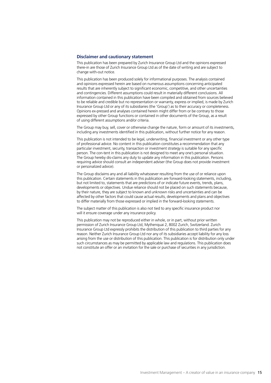#### **Disclaimer and cautionary statement**

This publication has been prepared by Zurich Insurance Group Ltd and the opinions expressed there-in are those of Zurich Insurance Group Ltd as of the date of writing and are subject to change with-out notice.

This publication has been produced solely for informational purposes. The analysis contained and opinions expressed herein are based on numerous assumptions concerning anticipated results that are inherently subject to significant economic, competitive, and other uncertainties and contingencies. Different assumptions could result in materially different conclusions. All information contained in this publication have been compiled and obtained from sources believed to be reliable and credible but no representation or warranty, express or implied, is made by Zurich Insurance Group Ltd or any of its subsidiaries (the 'Group') as to their accuracy or completeness. Opinions ex-pressed and analyses contained herein might differ from or be contrary to those expressed by other Group functions or contained in other documents of the Group, as a result of using different assumptions and/or criteria.

The Group may buy, sell, cover or otherwise change the nature, form or amount of its investments, including any investments identified in this publication, without further notice for any reason.

This publication is not intended to be legal, underwriting, financial investment or any other type of professional advice. No content in this publication constitutes a recommendation that any particular investment, security, transaction or investment strategy is suitable for any specific person. The con-tent in this publication is not designed to meet any one's personal situation. The Group hereby dis-claims any duty to update any information in this publication. Persons requiring advice should consult an independent adviser (the Group does not provide investment or personalized advice).

The Group disclaims any and all liability whatsoever resulting from the use of or reliance upon this publication. Certain statements in this publication are forward-looking statements, including, but not limited to, statements that are predictions of or indicate future events, trends, plans, developments or objectives. Undue reliance should not be placed on such statements because, by their nature, they are subject to known and unknown risks and uncertainties and can be affected by other factors that could cause actual results, developments and plans and objectives to differ materially from those expressed or implied in the forward-looking statements.

The subject matter of this publication is also not tied to any specific insurance product nor will it ensure coverage under any insurance policy.

This publication may not be reproduced either in whole, or in part, without prior written permission of Zurich Insurance Group Ltd, Mythenquai 2, 8002 Zurich, Switzerland. Zurich Insurance Group Ltd expressly prohibits the distribution of this publication to third parties for any reason. Neither Zurich Insurance Group Ltd nor any of its subsidiaries accept liability for any loss arising from the use or distribution of this publication. This publication is for distribution only under such circumstances as may be permitted by applicable law and regulations. This publication does not constitute an offer or an invitation for the sale or purchase of securities in any jurisdiction.